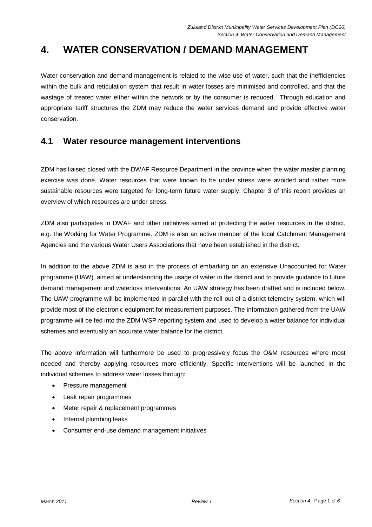# **4. WATER CONSERVATION / DEMAND MANAGEMENT**

Water conservation and demand management is related to the wise use of water, such that the inefficiencies within the bulk and reticulation system that result in water losses are minimised and controlled, and that the wastage of treated water either within the network or by the consumer is reduced. Through education and appropriate tariff structures the ZDM may reduce the water services demand and provide effective water conservation.

# **4.1 Water resource management interventions**

ZDM has liaised closed with the DWAF Resource Department in the province when the water master planning exercise was done. Water resources that were known to be under stress were avoided and rather more sustainable resources were targeted for long-term future water supply. Chapter 3 of this report provides an overview of which resources are under stress.

ZDM also participates in DWAF and other initiatives aimed at protecting the water resources in the district, e.g. the Working for Water Programme. ZDM is also an active member of the local Catchment Management Agencies and the various Water Users Associations that have been established in the district.

In addition to the above ZDM is also in the process of embarking on an extensive Unaccounted for Water programme (UAW), aimed at understanding the usage of water in the district and to provide guidance to future demand management and waterloss interventions. An UAW strategy has been drafted and is included below. The UAW programme will be implemented in parallel with the roll-out of a district telemetry system, which will provide most of the electronic equipment for measurement purposes. The information gathered from the UAW programme will be fed into the ZDM WSP reporting system and used to develop a water balance for individual schemes and eventually an accurate water balance for the district.

The above information will furthermore be used to progressively focus the O&M resources where most needed and thereby applying resources more efficiently. Specific interventions will be launched in the individual schemes to address water losses through:

- Pressure management
- Leak repair programmes
- Meter repair & replacement programmes
- Internal plumbing leaks
- Consumer end-use demand management initiatives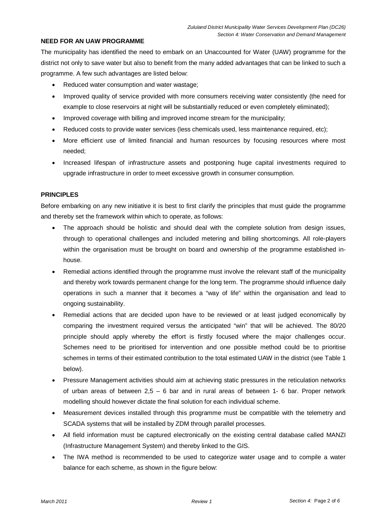## **NEED FOR AN UAW PROGRAMME**

The municipality has identified the need to embark on an Unaccounted for Water (UAW) programme for the district not only to save water but also to benefit from the many added advantages that can be linked to such a programme. A few such advantages are listed below:

- Reduced water consumption and water wastage;
- Improved quality of service provided with more consumers receiving water consistently (the need for example to close reservoirs at night will be substantially reduced or even completely eliminated);
- Improved coverage with billing and improved income stream for the municipality;
- Reduced costs to provide water services (less chemicals used, less maintenance required, etc);
- More efficient use of limited financial and human resources by focusing resources where most needed;
- Increased lifespan of infrastructure assets and postponing huge capital investments required to upgrade infrastructure in order to meet excessive growth in consumer consumption.

#### **PRINCIPLES**

Before embarking on any new initiative it is best to first clarify the principles that must guide the programme and thereby set the framework within which to operate, as follows:

- The approach should be holistic and should deal with the complete solution from design issues, through to operational challenges and included metering and billing shortcomings. All role-players within the organisation must be brought on board and ownership of the programme established inhouse.
- Remedial actions identified through the programme must involve the relevant staff of the municipality and thereby work towards permanent change for the long term. The programme should influence daily operations in such a manner that it becomes a "way of life" within the organisation and lead to ongoing sustainability.
- Remedial actions that are decided upon have to be reviewed or at least judged economically by comparing the investment required versus the anticipated "win" that will be achieved. The 80/20 principle should apply whereby the effort is firstly focused where the major challenges occur. Schemes need to be prioritised for intervention and one possible method could be to prioritise schemes in terms of their estimated contribution to the total estimated UAW in the district (see Table 1 below).
- Pressure Management activities should aim at achieving static pressures in the reticulation networks of urban areas of between  $2.5 - 6$  bar and in rural areas of between 1-6 bar. Proper network modelling should however dictate the final solution for each individual scheme.
- Measurement devices installed through this programme must be compatible with the telemetry and SCADA systems that will be installed by ZDM through parallel processes.
- All field information must be captured electronically on the existing central database called MANZI (Infrastructure Management System) and thereby linked to the GIS.
- The IWA method is recommended to be used to categorize water usage and to compile a water balance for each scheme, as shown in the figure below: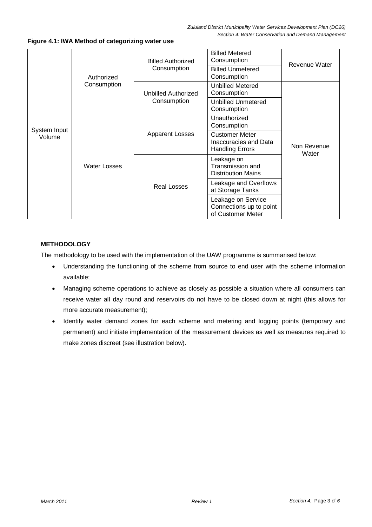| System Input<br>Volume | Authorized<br>Consumption | <b>Billed Authorized</b><br>Consumption | <b>Billed Metered</b><br>Consumption                                     | Revenue Water        |
|------------------------|---------------------------|-----------------------------------------|--------------------------------------------------------------------------|----------------------|
|                        |                           |                                         | <b>Billed Unmetered</b><br>Consumption                                   |                      |
|                        |                           | Unbilled Authorized<br>Consumption      | Unbilled Metered<br>Consumption                                          | Non Revenue<br>Water |
|                        |                           |                                         | <b>Unbilled Unmetered</b><br>Consumption                                 |                      |
|                        | <b>Water Losses</b>       | <b>Apparent Losses</b>                  | Unauthorized<br>Consumption                                              |                      |
|                        |                           |                                         | <b>Customer Meter</b><br>Inaccuracies and Data<br><b>Handling Errors</b> |                      |
|                        |                           | <b>Real Losses</b>                      | Leakage on<br>Transmission and<br><b>Distribution Mains</b>              |                      |
|                        |                           |                                         | Leakage and Overflows<br>at Storage Tanks                                |                      |
|                        |                           |                                         | Leakage on Service<br>Connections up to point<br>of Customer Meter       |                      |

**Figure 4.1: IWA Method of categorizing water use** 

## **METHODOLOGY**

The methodology to be used with the implementation of the UAW programme is summarised below:

- Understanding the functioning of the scheme from source to end user with the scheme information available;
- Managing scheme operations to achieve as closely as possible a situation where all consumers can receive water all day round and reservoirs do not have to be closed down at night (this allows for more accurate measurement);
- Identify water demand zones for each scheme and metering and logging points (temporary and permanent) and initiate implementation of the measurement devices as well as measures required to make zones discreet (see illustration below).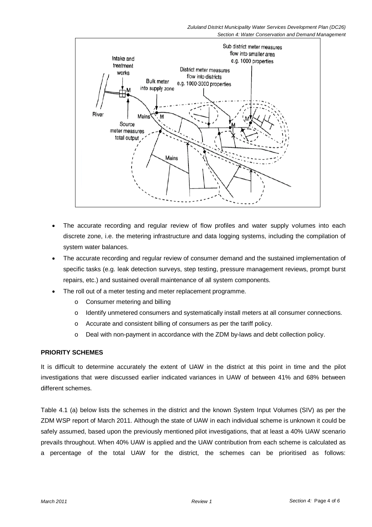Section 4: Water Conservation and Demand Management



- The accurate recording and regular review of flow profiles and water supply volumes into each discrete zone, i.e. the metering infrastructure and data logging systems, including the compilation of system water balances.
- The accurate recording and regular review of consumer demand and the sustained implementation of specific tasks (e.g. leak detection surveys, step testing, pressure management reviews, prompt burst repairs, etc.) and sustained overall maintenance of all system components.
- The roll out of a meter testing and meter replacement programme.
	- o Consumer metering and billing
	- o Identify unmetered consumers and systematically install meters at all consumer connections.
	- o Accurate and consistent billing of consumers as per the tariff policy.
	- o Deal with non-payment in accordance with the ZDM by-laws and debt collection policy.

## **PRIORITY SCHEMES**

It is difficult to determine accurately the extent of UAW in the district at this point in time and the pilot investigations that were discussed earlier indicated variances in UAW of between 41% and 68% between different schemes.

Table 4.1 (a) below lists the schemes in the district and the known System Input Volumes (SIV) as per the ZDM WSP report of March 2011. Although the state of UAW in each individual scheme is unknown it could be safely assumed, based upon the previously mentioned pilot investigations, that at least a 40% UAW scenario prevails throughout. When 40% UAW is applied and the UAW contribution from each scheme is calculated as a percentage of the total UAW for the district, the schemes can be prioritised as follows: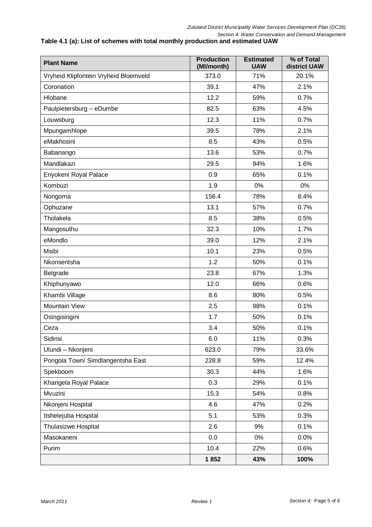Section 4: Water Conservation and Demand Management

## **Table 4.1 (a): List of schemes with total monthly production and estimated UAW**

| <b>Plant Name</b>                     | <b>Production</b><br>(Ml/month) | <b>Estimated</b><br><b>UAW</b> | % of Total<br>district UAW |
|---------------------------------------|---------------------------------|--------------------------------|----------------------------|
| Vryheid Klipfontein Vryheid Bloemveld | 373.0                           | 71%                            | 20.1%                      |
| Coronation                            | 39.1                            | 47%                            | 2.1%                       |
| Hlobane                               | 12.2                            | 59%                            | 0.7%                       |
| Paulpietersburg - eDumbe              | 82.5                            | 63%                            | 4.5%                       |
| Louwsburg                             | 12.3                            | 11%                            | 0.7%                       |
| Mpungamhlope                          | 39.5                            | 78%                            | 2.1%                       |
| eMakhosini                            | 8.5                             | 43%                            | 0.5%                       |
| Babanango                             | 13.6                            | 53%                            | 0.7%                       |
| Mandlakazi                            | 29.5                            | 94%                            | 1.6%                       |
| Enyokeni Royal Palace                 | 0.9                             | 65%                            | 0.1%                       |
| Kombuzi                               | 1.9                             | 0%                             | 0%                         |
| Nongoma                               | 156.4                           | 78%                            | 8.4%                       |
| Ophuzane                              | 13.1                            | 57%                            | 0.7%                       |
| Tholakela                             | 8.5                             | 38%                            | 0.5%                       |
| Mangosuthu                            | 32.3                            | 10%                            | 1.7%                       |
| eMondlo                               | 39.0                            | 12%                            | 2.1%                       |
| Msibi                                 | 10.1                            | 23%                            | 0.5%                       |
| Nkonsentsha                           | 1.2                             | 50%                            | 0.1%                       |
| Belgrade                              | 23.8                            | 67%                            | 1.3%                       |
| Khiphunyawo                           | 12.0                            | 66%                            | 0.6%                       |
| Khambi Village                        | 8.6                             | 80%                            | 0.5%                       |
| <b>Mountain View</b>                  | 2.5                             | 98%                            | 0.1%                       |
| Osingisingini                         | 1.7                             | 50%                            | 0.1%                       |
| Ceza                                  | 3.4                             | 50%                            | 0.1%                       |
| Sidinsi                               | 6.0                             | 11%                            | 0.3%                       |
| Ulundi - Nkonjeni                     | 623.0                           | 79%                            | 33.6%                      |
| Pongola Town/ Simdlangentsha East     | 228.8                           | 59%                            | 12.4%                      |
| Spekboom                              | 30.3                            | 44%                            | 1.6%                       |
| Khangela Royal Palace                 | 0.3                             | 29%                            | 0.1%                       |
| Mvuzini                               | 15.3                            | 54%                            | 0.8%                       |
| Nkonjeni Hospital                     | 4.6                             | 47%                            | 0.2%                       |
| Itshelejuba Hospital                  | 5.1                             | 53%                            | 0.3%                       |
| <b>Thulasizwe Hospital</b>            | 2.6                             | 9%                             | 0.1%                       |
| Masokaneni                            | 0.0                             | 0%                             | 0.0%                       |
| Purim                                 | 10.4                            | 22%                            | 0.6%                       |
|                                       | 1852                            | 43%                            | 100%                       |